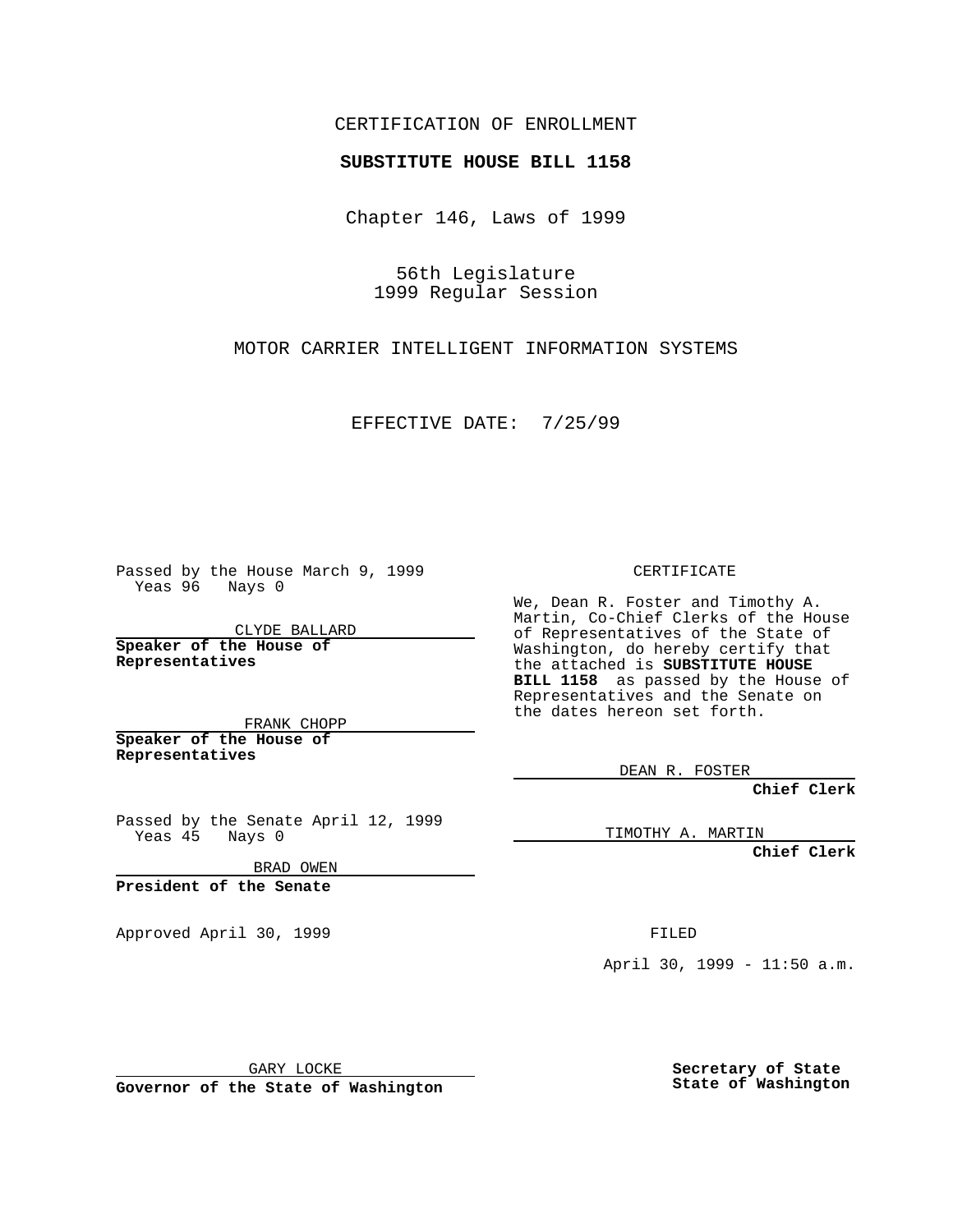## CERTIFICATION OF ENROLLMENT

## **SUBSTITUTE HOUSE BILL 1158**

Chapter 146, Laws of 1999

56th Legislature 1999 Regular Session

MOTOR CARRIER INTELLIGENT INFORMATION SYSTEMS

EFFECTIVE DATE: 7/25/99

Passed by the House March 9, 1999 Yeas 96 Nays 0

CLYDE BALLARD **Speaker of the House of Representatives**

FRANK CHOPP **Speaker of the House of Representatives**

Passed by the Senate April 12, 1999 Yeas 45 Nays 0

BRAD OWEN

**President of the Senate**

Approved April 30, 1999 **FILED** 

CERTIFICATE

We, Dean R. Foster and Timothy A. Martin, Co-Chief Clerks of the House of Representatives of the State of Washington, do hereby certify that the attached is **SUBSTITUTE HOUSE BILL 1158** as passed by the House of Representatives and the Senate on the dates hereon set forth.

DEAN R. FOSTER

**Chief Clerk**

TIMOTHY A. MARTIN

**Chief Clerk**

April 30, 1999 - 11:50 a.m.

GARY LOCKE

**Governor of the State of Washington**

**Secretary of State State of Washington**